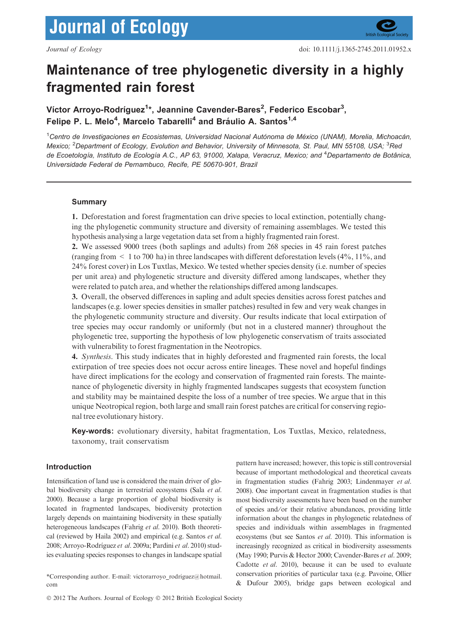# Maintenance of tree phylogenetic diversity in a highly fragmented rain forest

Víctor Arroyo-Rodríguez<sup>1</sup>\*, Jeannine Cavender-Bares<sup>2</sup>, Federico Escobar<sup>3</sup>, Felipe P. L. Melo<sup>4</sup>, Marcelo Tabarelli<sup>4</sup> and Bráulio A. Santos<sup>1,4</sup>

<sup>1</sup>Centro de Investigaciones en Ecosistemas, Universidad Nacional Autónoma de México (UNAM), Morelia, Michoacán, Mexico; <sup>2</sup>Department of Ecology, Evolution and Behavior, University of Minnesota, St. Paul, MN 55108, USA; <sup>3</sup>Red de Ecoetología, Instituto de Ecología A.C., AP 63, 91000, Xalapa, Veracruz, Mexico; and <sup>4</sup>Departamento de Botânica, Universidade Federal de Pernambuco, Recife, PE 50670-901, Brazil

## Summary

1. Deforestation and forest fragmentation can drive species to local extinction, potentially changing the phylogenetic community structure and diversity of remaining assemblages. We tested this hypothesis analysing a large vegetation data set from a highly fragmented rain forest.

2. We assessed 9000 trees (both saplings and adults) from 268 species in 45 rain forest patches (ranging from  $\leq 1$  to 700 ha) in three landscapes with different deforestation levels (4%, 11%, and 24% forest cover) in Los Tuxtlas, Mexico. We tested whether species density (i.e. number of species per unit area) and phylogenetic structure and diversity differed among landscapes, whether they were related to patch area, and whether the relationships differed among landscapes.

3. Overall, the observed differences in sapling and adult species densities across forest patches and landscapes (e.g. lower species densities in smaller patches) resulted in few and very weak changes in the phylogenetic community structure and diversity. Our results indicate that local extirpation of tree species may occur randomly or uniformly (but not in a clustered manner) throughout the phylogenetic tree, supporting the hypothesis of low phylogenetic conservatism of traits associated with vulnerability to forest fragmentation in the Neotropics.

4. Synthesis. This study indicates that in highly deforested and fragmented rain forests, the local extirpation of tree species does not occur across entire lineages. These novel and hopeful findings have direct implications for the ecology and conservation of fragmented rain forests. The maintenance of phylogenetic diversity in highly fragmented landscapes suggests that ecosystem function and stability may be maintained despite the loss of a number of tree species. We argue that in this unique Neotropical region, both large and small rain forest patches are critical for conserving regional tree evolutionary history.

Key-words: evolutionary diversity, habitat fragmentation, Los Tuxtlas, Mexico, relatedness, taxonomy, trait conservatism

## Introduction

Intensification of land use is considered the main driver of global biodiversity change in terrestrial ecosystems (Sala et al. 2000). Because a large proportion of global biodiversity is located in fragmented landscapes, biodiversity protection largely depends on maintaining biodiversity in these spatially heterogeneous landscapes (Fahrig et al. 2010). Both theoretical (reviewed by Haila 2002) and empirical (e.g. Santos et al. 2008; Arroyo-Rodríguez et al. 2009a; Pardini et al. 2010) studies evaluating species responses to changes in landscape spatial

\*Corresponding author. E-mail: victorarroyo\_rodriguez@hotmail. com

pattern have increased; however, this topic is still controversial because of important methodological and theoretical caveats in fragmentation studies (Fahrig 2003; Lindenmayer et al. 2008). One important caveat in fragmentation studies is that most biodiversity assessments have been based on the number of species and ⁄or their relative abundances, providing little information about the changes in phylogenetic relatedness of species and individuals within assemblages in fragmented ecosystems (but see Santos et al. 2010). This information is increasingly recognized as critical in biodiversity assessments (May 1990; Purvis & Hector 2000; Cavender-Bares et al. 2009; Cadotte et al. 2010), because it can be used to evaluate conservation priorities of particular taxa (e.g. Pavoine, Ollier & Dufour 2005), bridge gaps between ecological and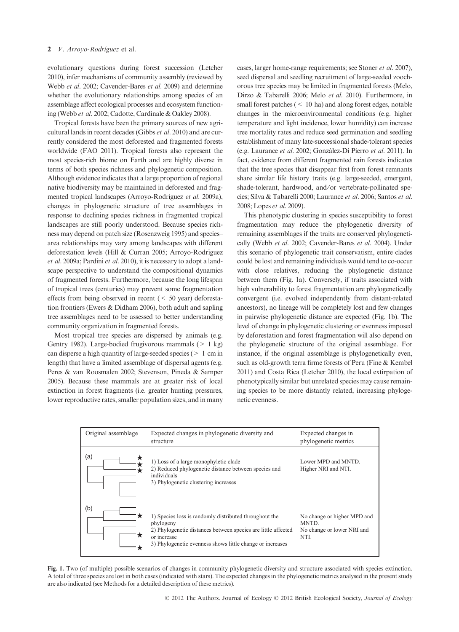evolutionary questions during forest succession (Letcher 2010), infer mechanisms of community assembly (reviewed by Webb et al. 2002; Cavender-Bares et al. 2009) and determine whether the evolutionary relationships among species of an assemblage affect ecological processes and ecosystem functioning (Webb et al. 2002; Cadotte, Cardinale & Oakley 2008).

Tropical forests have been the primary sources of new agricultural lands in recent decades (Gibbs et al. 2010) and are currently considered the most deforested and fragmented forests worldwide (FAO 2011). Tropical forests also represent the most species-rich biome on Earth and are highly diverse in terms of both species richness and phylogenetic composition. Although evidence indicates that a large proportion of regional native biodiversity may be maintained in deforested and fragmented tropical landscapes (Arroyo-Rodríguez et al. 2009a), changes in phylogenetic structure of tree assemblages in response to declining species richness in fragmented tropical landscapes are still poorly understood. Because species richness may depend on patch size (Rosenzweig 1995) and species– area relationships may vary among landscapes with different deforestation levels (Hill & Curran 2005; Arroyo-Rodríguez et al. 2009a; Pardini et al. 2010), it is necessary to adopt a landscape perspective to understand the compositional dynamics of fragmented forests. Furthermore, because the long lifespan of tropical trees (centuries) may prevent some fragmentation effects from being observed in recent (< 50 year) deforestation frontiers (Ewers & Didham 2006), both adult and sapling tree assemblages need to be assessed to better understanding community organization in fragmented forests.

Most tropical tree species are dispersed by animals (e.g. Gentry 1982). Large-bodied frugivorous mammals (> 1 kg) can disperse a high quantity of large-seeded species ( $> 1$  cm in length) that have a limited assemblage of dispersal agents (e.g. Peres & van Roosmalen 2002; Stevenson, Pineda & Samper 2005). Because these mammals are at greater risk of local extinction in forest fragments (i.e. greater hunting pressures, lower reproductive rates, smaller population sizes, and in many cases, larger home-range requirements; see Stoner et al. 2007), seed dispersal and seedling recruitment of large-seeded zoochorous tree species may be limited in fragmented forests (Melo, Dirzo & Tabarelli 2006; Melo et al. 2010). Furthermore, in small forest patches (< 10 ha) and along forest edges, notable changes in the microenvironmental conditions (e.g. higher temperature and light incidence, lower humidity) can increase tree mortality rates and reduce seed germination and seedling establishment of many late-successional shade-tolerant species (e.g. Laurance et al. 2002; González-Di Pierro et al. 2011). In fact, evidence from different fragmented rain forests indicates that the tree species that disappear first from forest remnants share similar life history traits (e.g. large-seeded, emergent, shade-tolerant, hardwood, and/or vertebrate-pollinated species; Silva & Tabarelli 2000; Laurance et al. 2006; Santos et al. 2008; Lopes et al. 2009).

This phenotypic clustering in species susceptibility to forest fragmentation may reduce the phylogenetic diversity of remaining assemblages if the traits are conserved phylogenetically (Webb et al. 2002; Cavender-Bares et al. 2004). Under this scenario of phylogenetic trait conservatism, entire clades could be lost and remaining individuals would tend to co-occur with close relatives, reducing the phylogenetic distance between them (Fig. 1a). Conversely, if traits associated with high vulnerability to forest fragmentation are phylogenetically convergent (i.e. evolved independently from distant-related ancestors), no lineage will be completely lost and few changes in pairwise phylogenetic distance are expected (Fig. 1b). The level of change in phylogenetic clustering or evenness imposed by deforestation and forest fragmentation will also depend on the phylogenetic structure of the original assemblage. For instance, if the original assemblage is phylogenetically even, such as old-growth terra firme forests of Peru (Fine & Kembel 2011) and Costa Rica (Letcher 2010), the local extirpation of phenotypically similar but unrelated species may cause remaining species to be more distantly related, increasing phylogenetic evenness.



Fig. 1. Two (of multiple) possible scenarios of changes in community phylogenetic diversity and structure associated with species extinction. A total of three species are lost in both cases (indicated with stars). The expected changes in the phylogenetic metrics analysed in the present study are also indicated (see Methods for a detailed description of these metrics).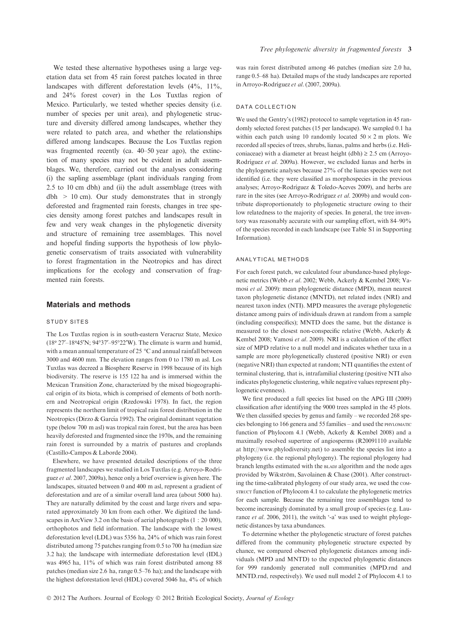We tested these alternative hypotheses using a large vegetation data set from 45 rain forest patches located in three landscapes with different deforestation levels (4%, 11%, and 24% forest cover) in the Los Tuxtlas region of Mexico. Particularly, we tested whether species density (i.e. number of species per unit area), and phylogenetic structure and diversity differed among landscapes, whether they were related to patch area, and whether the relationships differed among landscapes. Because the Los Tuxtlas region was fragmented recently (ca. 40–50 year ago), the extinction of many species may not be evident in adult assemblages. We, therefore, carried out the analyses considering (i) the sapling assemblage (plant individuals ranging from 2.5 to 10 cm dbh) and (ii) the adult assemblage (trees with  $dbh$  > 10 cm). Our study demonstrates that in strongly deforested and fragmented rain forests, changes in tree species density among forest patches and landscapes result in few and very weak changes in the phylogenetic diversity and structure of remaining tree assemblages. This novel and hopeful finding supports the hypothesis of low phylogenetic conservatism of traits associated with vulnerability to forest fragmentation in the Neotropics and has direct implications for the ecology and conservation of fragmented rain forests.

## Materials and methods

#### STUDY SITES

The Los Tuxtlas region is in south-eastern Veracruz State, Mexico ( $18° 27′–18°45′N$ ;  $94°37′–95°22′W$ ). The climate is warm and humid, with a mean annual temperature of 25  $\degree$ C and annual rainfall between 3000 and 4600 mm. The elevation ranges from 0 to 1780 m asl. Los Tuxtlas was decreed a Biosphere Reserve in 1998 because of its high biodiversity. The reserve is 155 122 ha and is immersed within the Mexican Transition Zone, characterized by the mixed biogeographical origin of its biota, which is comprised of elements of both northern and Neotropical origin (Rzedowski 1978). In fact, the region represents the northern limit of tropical rain forest distribution in the Neotropics (Dirzo & García 1992). The original dominant vegetation type (below 700 m asl) was tropical rain forest, but the area has been heavily deforested and fragmented since the 1970s, and the remaining rain forest is surrounded by a matrix of pastures and croplands (Castillo-Campos & Laborde 2004).

Elsewhere, we have presented detailed descriptions of the three fragmented landscapes we studied in Los Tuxtlas (e.g. Arroyo-Rodrı´ guez et al. 2007, 2009a), hence only a brief overview is given here. The landscapes, situated between 0 and 400 m asl, represent a gradient of deforestation and are of a similar overall land area (about 5000 ha). They are naturally delimited by the coast and large rivers and separated approximately 30 km from each other. We digitized the landscapes in ArcView 3.2 on the basis of aerial photographs (1 : 20 000), orthophotos and field information. The landscape with the lowest deforestation level (LDL) was 5356 ha, 24% of which was rain forest distributed among 75 patches ranging from 0.5 to 700 ha (median size 3.2 ha); the landscape with intermediate deforestation level (IDL) was 4965 ha, 11% of which was rain forest distributed among 88 patches (median size 2.6 ha, range 0.5–76 ha); and the landscape with the highest deforestation level (HDL) covered 5046 ha, 4% of which

was rain forest distributed among 46 patches (median size 2.0 ha, range 0.5–68 ha). Detailed maps of the study landscapes are reported in Arroyo-Rodríguez et al. (2007, 2009a).

## DATA COLLECTION

We used the Gentry's (1982) protocol to sample vegetation in 45 randomly selected forest patches (15 per landscape). We sampled 0.1 ha within each patch using 10 randomly located  $50 \times 2$  m plots. We recorded all species of trees, shrubs, lianas, palms and herbs (i.e. Heliconiaceae) with a diameter at breast height (dbh)  $\geq$  2.5 cm (Arroyo-Rodríguez et al. 2009a). However, we excluded lianas and herbs in the phylogenetic analyses because 27% of the lianas species were not identified (i.e. they were classified as morphospecies in the previous analyses; Arroyo-Rodríguez  $&$  Toledo-Aceves 2009), and herbs are rare in the sites (see Arroyo-Rodríguez et al. 2009b) and would contribute disproportionately to phylogenetic structure owing to their low relatedness to the majority of species. In general, the tree inventory was reasonably accurate with our sampling effort, with 84–90% of the species recorded in each landscape (see Table S1 in Supporting Information).

## ANALYTICAL METHODS

For each forest patch, we calculated four abundance-based phylogenetic metrics (Webb et al. 2002; Webb, Ackerly & Kembel 2008; Vamosi et al. 2009): mean phylogenetic distance (MPD), mean nearest taxon phylogenetic distance (MNTD), net related index (NRI) and nearest taxon index (NTI). MPD measures the average phylogenetic distance among pairs of individuals drawn at random from a sample (including conspecifics); MNTD does the same, but the distance is measured to the closest non-conspecific relative (Webb, Ackerly & Kembel 2008; Vamosi et al. 2009). NRI is a calculation of the effect size of MPD relative to a null model and indicates whether taxa in a sample are more phylogenetically clustered (positive NRI) or even (negative NRI) than expected at random; NTI quantifies the extent of terminal clustering, that is, intrafamilial clustering (positive NTI also indicates phylogenetic clustering, while negative values represent phylogenetic evenness).

We first produced a full species list based on the APG III (2009) classification after identifying the 9000 trees sampled in the 45 plots. We then classified species by genus and family – we recorded 268 species belonging to 166 genera and 55 families – and used the phylomatic function of Phylocom 4.1 (Webb, Ackerly & Kembel 2008) and a maximally resolved supertree of angiosperms (R20091110 available at http://www.phylodiversity.net) to assemble the species list into a phylogeny (i.e. the regional phylogeny). The regional phylogeny had branch lengths estimated with the BLADJ algorithm and the node ages provided by Wikström, Savolainen & Chase (2001). After constructing the time-calibrated phylogeny of our study area, we used the comstruct function of Phylocom 4.1 to calculate the phylogenetic metrics for each sample. Because the remaining tree assemblages tend to become increasingly dominated by a small group of species (e.g. Laurance et al. 2006, 2011), the switch '-a' was used to weight phylogenetic distances by taxa abundances.

To determine whether the phylogenetic structure of forest patches differed from the community phylogenetic structure expected by chance, we compared observed phylogenetic distances among individuals (MPD and MNTD) to the expected phylogenetic distances for 999 randomly generated null communities (MPD.rnd and MNTD.rnd, respectively). We used null model 2 of Phylocom 4.1 to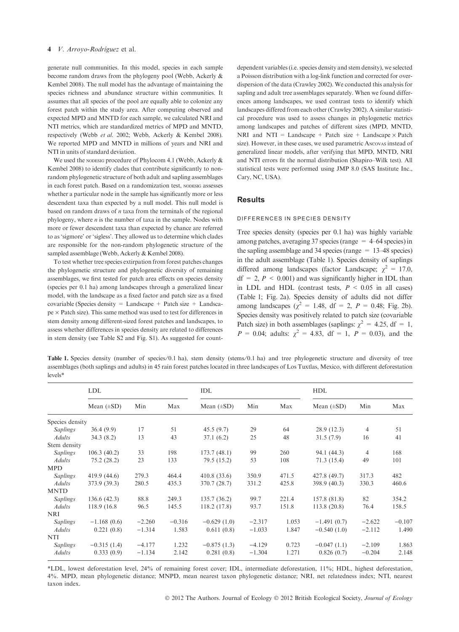generate null communities. In this model, species in each sample become random draws from the phylogeny pool (Webb, Ackerly & Kembel 2008). The null model has the advantage of maintaining the species richness and abundance structure within communities. It assumes that all species of the pool are equally able to colonize any forest patch within the study area. After computing observed and expected MPD and MNTD for each sample, we calculated NRI and NTI metrics, which are standardized metrics of MPD and MNTD, respectively (Webb et al. 2002; Webb, Ackerly & Kembel 2008). We reported MPD and MNTD in millions of years and NRI and NTI in units of standard deviation.

We used the nodesig procedure of Phylocom 4.1 (Webb, Ackerly & Kembel 2008) to identify clades that contribute significantly to nonrandom phylogenetic structure of both adult and sapling assemblages in each forest patch. Based on a randomization test, NODESIG assesses whether a particular node in the sample has significantly more or less descendent taxa than expected by a null model. This null model is based on random draws of  $n$  taxa from the terminals of the regional phylogeny, where  $n$  is the number of taxa in the sample. Nodes with more or fewer descendent taxa than expected by chance are referred to as 'sigmore' or 'sigless'. They allowed us to determine which clades are responsible for the non-random phylogenetic structure of the sampled assemblage (Webb, Ackerly & Kembel 2008).

To test whether tree species extirpation from forest patches changes the phylogenetic structure and phylogenetic diversity of remaining assemblages, we first tested for patch area effects on species density (species per 0.1 ha) among landscapes through a generalized linear model, with the landscape as a fixed factor and patch size as a fixed covariable (Species density = Landscape + Patch size + Landsca $pe \times$  Patch size). This same method was used to test for differences in stem density among different-sized forest patches and landscapes, to assess whether differences in species density are related to differences in stem density (see Table S2 and Fig. S1). As suggested for count-

dependent variables (i.e. species density and stem density), we selected a Poisson distribution with a log-link function and corrected for overdispersion of the data (Crawley 2002). We conducted this analysis for sapling and adult tree assemblages separately. When we found differences among landscapes, we used contrast tests to identify which landscapes differed from each other (Crawley 2002). A similar statistical procedure was used to assess changes in phylogenetic metrics among landscapes and patches of different sizes (MPD, MNTD, NRI and NTI = Landscape + Patch size + Landscape  $\times$  Patch size). However, in these cases, we used parametric Ancovas instead of generalized linear models, after verifying that MPD, MNTD, NRI and NTI errors fit the normal distribution (Shapiro–Wilk test). All statistical tests were performed using JMP 8.0 (SAS Institute Inc., Cary, NC, USA).

## **Results**

#### DIFFERENCES IN SPECIES DENSITY

Tree species density (species per 0.1 ha) was highly variable among patches, averaging 37 species (range  $= 4-64$  species) in the sapling assemblage and 34 species (range  $= 13-48$  species) in the adult assemblage (Table 1). Species density of saplings differed among landscapes (factor Landscape;  $\gamma^2 = 17.0$ ,  $df = 2, P < 0.001$  and was significantly higher in IDL than in LDL and HDL (contrast tests,  $P < 0.05$  in all cases) (Table 1; Fig. 2a). Species density of adults did not differ among landscapes ( $\chi^2 = 1.48$ , df = 2, P = 0.48; Fig. 2b). Species density was positively related to patch size (covariable Patch size) in both assemblages (saplings:  $\chi^2 = 4.25$ , df = 1,  $P = 0.04$ ; adults:  $\chi^2 = 4.83$ , df = 1,  $P = 0.03$ ), and the

Table 1. Species density (number of species/0.1 ha), stem density (stems/0.1 ha) and tree phylogenetic structure and diversity of tree assemblages (both saplings and adults) in 45 rain forest patches located in three landscapes of Los Tuxtlas, Mexico, with different deforestation levels\*

|                 | <b>LDL</b>      |          |          | IDL             |          |       | <b>HDL</b>      |                |          |
|-----------------|-----------------|----------|----------|-----------------|----------|-------|-----------------|----------------|----------|
|                 | Mean $(\pm SD)$ | Min      | Max      | Mean $(\pm SD)$ | Min      | Max   | Mean $(\pm SD)$ | Min            | Max      |
| Species density |                 |          |          |                 |          |       |                 |                |          |
| <b>Saplings</b> | 36.4(9.9)       | 17       | 51       | 45.5(9.7)       | 29       | 64    | 28.9(12.3)      | 4              | 51       |
| <b>Adults</b>   | 34.3(8.2)       | 13       | 43       | 37.1(6.2)       | 25       | 48    | 31.5(7.9)       | 16             | 41       |
| Stem density    |                 |          |          |                 |          |       |                 |                |          |
| <b>Saplings</b> | 106.3(40.2)     | 33       | 198      | 173.7(48.1)     | 99       | 260   | 94.1 (44.3)     | $\overline{4}$ | 168      |
| <b>Adults</b>   | 75.2 (28.2)     | 23       | 133      | 79.5 (15.2)     | 53       | 108   | 71.3 (15.4)     | 49             | 101      |
| <b>MPD</b>      |                 |          |          |                 |          |       |                 |                |          |
| <b>Saplings</b> | 419.9(44.6)     | 279.3    | 464.4    | 410.8(33.6)     | 350.9    | 471.5 | 427.8 (49.7)    | 317.3          | 482      |
| <b>Adults</b>   | 373.9 (39.3)    | 280.5    | 435.3    | 370.7(28.7)     | 331.2    | 425.8 | 398.9 (40.3)    | 330.3          | 460.6    |
| <b>MNTD</b>     |                 |          |          |                 |          |       |                 |                |          |
| <b>Saplings</b> | 136.6(42.3)     | 88.8     | 249.3    | 135.7(36.2)     | 99.7     | 221.4 | 157.8 (81.8)    | 82             | 354.2    |
| <b>Adults</b>   | 118.9 (16.8)    | 96.5     | 145.5    | 118.2(17.8)     | 93.7     | 151.8 | 113.8(20.8)     | 76.4           | 158.5    |
| <b>NRI</b>      |                 |          |          |                 |          |       |                 |                |          |
| <b>Saplings</b> | $-1.168(0.6)$   | $-2.260$ | $-0.316$ | $-0.629(1.0)$   | $-2.317$ | 1.053 | $-1.491(0.7)$   | $-2.622$       | $-0.107$ |
| <b>Adults</b>   | 0.221(0.8)      | $-1.314$ | 1.583    | 0.611(0.8)      | $-1.033$ | 1.847 | $-0.540(1.0)$   | $-2.112$       | 1.490    |
| <b>NTI</b>      |                 |          |          |                 |          |       |                 |                |          |
| <b>Saplings</b> | $-0.315(1.4)$   | $-4.177$ | 1.232    | $-0.875(1.3)$   | $-4.129$ | 0.723 | $-0.047(1.1)$   | $-2.109$       | 1.863    |
| <b>Adults</b>   | 0.333(0.9)      | $-1.134$ | 2.142    | 0.281(0.8)      | $-1.304$ | 1.271 | 0.826(0.7)      | $-0.204$       | 2.148    |

\*LDL, lowest deforestation level, 24% of remaining forest cover; IDL, intermediate deforestation, 11%; HDL, highest deforestation, 4%. MPD, mean phylogenetic distance; MNPD, mean nearest taxon phylogenetic distance; NRI, net relatedness index; NTI, nearest taxon index.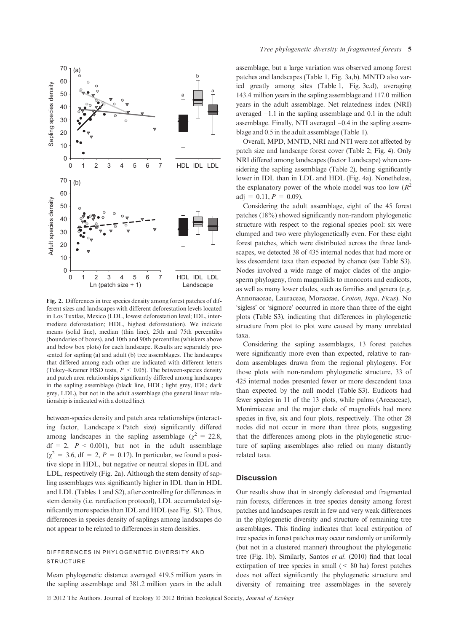

Fig. 2. Differences in tree species density among forest patches of different sizes and landscapes with different deforestation levels located in Los Tuxtlas, Mexico (LDL, lowest deforestation level; IDL, intermediate deforestation; HDL, highest deforestation). We indicate means (solid line), median (thin line), 25th and 75th percentiles (boundaries of boxes), and 10th and 90th percentiles (whiskers above and below box plots) for each landscape. Results are separately presented for sapling (a) and adult (b) tree assemblages. The landscapes that differed among each other are indicated with different letters (Tukey–Kramer HSD tests,  $P \le 0.05$ ). The between-species density and patch area relationships significantly differed among landscapes in the sapling assemblage (black line, HDL; light grey, IDL; dark grey, LDL), but not in the adult assemblage (the general linear relationship is indicated with a dotted line).

between-species density and patch area relationships (interacting factor, Landscape  $\times$  Patch size) significantly differed among landscapes in the sapling assemblage ( $\chi^2 = 22.8$ ,  $df = 2$ ,  $P < 0.001$ , but not in the adult assemblage  $(\chi^2 = 3.6, df = 2, P = 0.17)$ . In particular, we found a positive slope in HDL, but negative or neutral slopes in IDL and LDL, respectively (Fig. 2a). Although the stem density of sapling assemblages was significantly higher in IDL than in HDL and LDL (Tables 1 and S2), after controlling for differences in stem density (i.e. rarefaction protocol), LDL accumulated significantly more species than IDL and HDL (see Fig. S1). Thus, differences in species density of saplings among landscapes do not appear to be related to differences in stem densities.

## DIFFERENCES IN PHYLOGENETIC DIVERSITY AND **STRUCTURE**

Mean phylogenetic distance averaged 419.5 million years in the sapling assemblage and 381.2 million years in the adult

## Tree phylogenetic diversity in fragmented forests 5

assemblage, but a large variation was observed among forest patches and landscapes (Table 1, Fig. 3a,b). MNTD also varied greatly among sites (Table 1, Fig. 3c,d), averaging 143.4 million years in the sapling assemblage and 117.0 million years in the adult assemblage. Net relatedness index (NRI) averaged  $-1.1$  in the sapling assemblage and 0.1 in the adult assemblage. Finally, NTI averaged  $-0.4$  in the sapling assemblage and 0.5 in the adult assemblage (Table 1).

Overall, MPD, MNTD, NRI and NTI were not affected by patch size and landscape forest cover (Table 2; Fig. 4). Only NRI differed among landscapes (factor Landscape) when considering the sapling assemblage (Table 2), being significantly lower in IDL than in LDL and HDL (Fig. 4a). Nonetheless, the explanatory power of the whole model was too low  $(R^2)$  $adj = 0.11, P = 0.09$ .

Considering the adult assemblage, eight of the 45 forest patches (18%) showed significantly non-random phylogenetic structure with respect to the regional species pool: six were clumped and two were phylogenetically even. For these eight forest patches, which were distributed across the three landscapes, we detected 38 of 435 internal nodes that had more or less descendent taxa than expected by chance (see Table S3). Nodes involved a wide range of major clades of the angiosperm phylogeny, from magnoliids to monocots and eudicots, as well as many lower clades, such as families and genera (e.g. Annonaceae, Lauraceae, Moraceae, Croton, Inga, Ficus). No 'sigless' or 'sigmore' occurred in more than three of the eight plots (Table S3), indicating that differences in phylogenetic structure from plot to plot were caused by many unrelated taxa.

Considering the sapling assemblages, 13 forest patches were significantly more even than expected, relative to random assemblages drawn from the regional phylogeny. For those plots with non-random phylogenetic structure, 33 of 425 internal nodes presented fewer or more descendent taxa than expected by the null model (Table S3). Eudicots had fewer species in 11 of the 13 plots, while palms (Arecaceae), Monimiaceae and the major clade of magnoliids had more species in five, six and four plots, respectively. The other 28 nodes did not occur in more than three plots, suggesting that the differences among plots in the phylogenetic structure of sapling assemblages also relied on many distantly related taxa.

## **Discussion**

Our results show that in strongly deforested and fragmented rain forests, differences in tree species density among forest patches and landscapes result in few and very weak differences in the phylogenetic diversity and structure of remaining tree assemblages. This finding indicates that local extirpation of tree species in forest patches may occur randomly or uniformly (but not in a clustered manner) throughout the phylogenetic tree (Fig. 1b). Similarly, Santos et al. (2010) find that local extirpation of tree species in small (< 80 ha) forest patches does not affect significantly the phylogenetic structure and diversity of remaining tree assemblages in the severely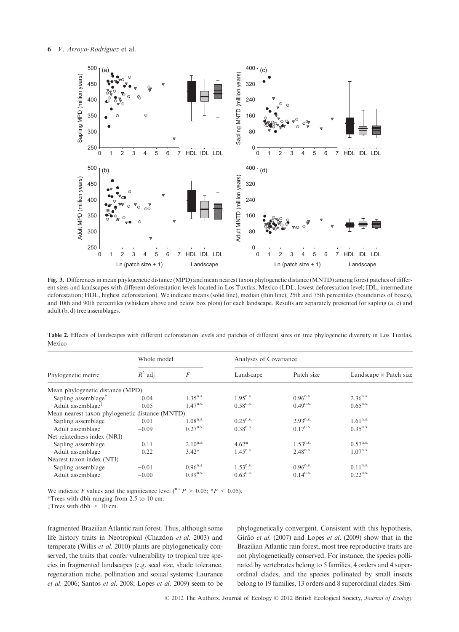

Fig. 3. Differences in mean phylogenetic distance (MPD) and mean nearest taxon phylogenetic distance (MNTD) among forest patches of different sizes and landscapes with different deforestation levels located in Los Tuxtlas, Mexico (LDL, lowest deforestation level; IDL, intermediate deforestation; HDL, highest deforestation). We indicate means (solid line), median (thin line), 25th and 75th percentiles (boundaries of boxes), and 10th and 90th percentiles (whiskers above and below box plots) for each landscape. Results are separately presented for sapling (a, c) and adult (b, d) tree assemblages.

Table 2. Effects of landscapes with different deforestation levels and patches of different sizes on tree phylogenetic diversity in Los Tuxtlas, Mexico

|                                                   | Whole model |                      | Analyses of Covariance |               |                               |  |  |
|---------------------------------------------------|-------------|----------------------|------------------------|---------------|-------------------------------|--|--|
| Phylogenetic metric                               | $R^2$ adj   | $\boldsymbol{F}$     | Landscape              | Patch size    | Landscape $\times$ Patch size |  |  |
| Mean phylogenetic distance (MPD)                  |             |                      |                        |               |                               |  |  |
| Sapling assemblage <sup>†</sup>                   | 0.04        | $1.35^{n.s.}$        | $1.95^{n.s.}$          | $0.96^{n.s.}$ | $2.36^{n.s.}$                 |  |  |
| Adult assemblage <sup><math>\ddagger</math></sup> | 0.05        | $1.47^{n.s.}$        | $0.58$ <sup>n.s.</sup> | $0.49^{n.s.}$ | $0.65^{n.s.}$                 |  |  |
| Mean nearest taxon phylogenetic distance (MNTD)   |             |                      |                        |               |                               |  |  |
| Sapling assemblage                                | 0.01        | $1.08^{\text{n.s.}}$ | $0.25^{n.s.}$          | $2.93^{n.s.}$ | $1.61^{n.s.}$                 |  |  |
| Adult assemblage                                  | $-0.09$     | $0.27^{n.s.}$        | $0.38^{n.s.}$          | $0.17^{n.s.}$ | $0.35^{n.s.}$                 |  |  |
| Net relatedness index (NRI)                       |             |                      |                        |               |                               |  |  |
| Sapling assemblage                                | 0.11        | $2.10^{n.s.}$        | $4.62*$                | $1.53^{n.s.}$ | $0.57^{n.s.}$                 |  |  |
| Adult assemblage                                  | 0.22        | $3.42*$              | $1.45^{n.s.}$          | $2.48^{n.s.}$ | $1.07^{n.s.}$                 |  |  |
| Nearest taxon index (NTI)                         |             |                      |                        |               |                               |  |  |
| Sapling assemblage                                | $-0.01$     | $0.96^{n.s.}$        | $1.53^{n.s.}$          | $0.96^{n.s.}$ | $0.11^{n.s.}$                 |  |  |
| Adult assemblage                                  | $-0.00$     | $0.99^{n.s.}$        | $0.63^{n.s.}$          | $0.14^{n.s.}$ | $0.22^{n.s.}$                 |  |  |

We indicate F values and the significance level (n.s.  $P > 0.05$ ;  $*P < 0.05$ ).

†Trees with dbh ranging from 2.5 to 10 cm.

‡Trees with dbh > 10 cm.

fragmented Brazilian Atlantic rain forest. Thus, although some life history traits in Neotropical (Chazdon et al. 2003) and temperate (Willis et al. 2010) plants are phylogenetically conserved, the traits that confer vulnerability to tropical tree species in fragmented landscapes (e.g. seed size, shade tolerance, regeneration niche, pollination and sexual systems; Laurance et al. 2006; Santos et al. 2008; Lopes et al. 2009) seem to be phylogenetically convergent. Consistent with this hypothesis, Girão et al. (2007) and Lopes et al. (2009) show that in the Brazilian Atlantic rain forest, most tree reproductive traits are not phylogenetically conserved. For instance, the species pollinated by vertebrates belong to 5 families, 4 orders and 4 superordinal clades, and the species pollinated by small insects belong to 19 families, 13 orders and 8 superordinal clades. Sim-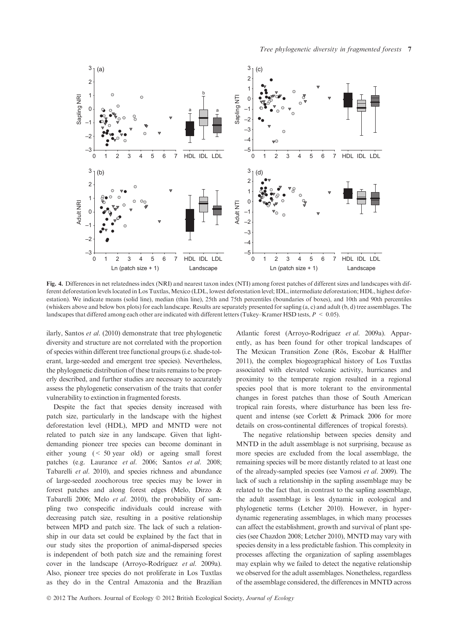

Fig. 4. Differences in net relatedness index (NRI) and nearest taxon index (NTI) among forest patches of different sizes and landscapes with different deforestation levels located in Los Tuxtlas, Mexico (LDL, lowest deforestation level; IDL, intermediate deforestation; HDL, highest deforestation). We indicate means (solid line), median (thin line), 25th and 75th percentiles (boundaries of boxes), and 10th and 90th percentiles (whiskers above and below box plots) for each landscape. Results are separately presented for sapling (a, c) and adult (b, d) tree assemblages. The landscapes that differed among each other are indicated with different letters (Tukey–Kramer HSD tests,  $P < 0.05$ ).

ilarly, Santos et al. (2010) demonstrate that tree phylogenetic diversity and structure are not correlated with the proportion of species within different tree functional groups (i.e. shade-tolerant, large-seeded and emergent tree species). Nevertheless, the phylogenetic distribution of these traits remains to be properly described, and further studies are necessary to accurately assess the phylogenetic conservatism of the traits that confer vulnerability to extinction in fragmented forests.

Despite the fact that species density increased with patch size, particularly in the landscape with the highest deforestation level (HDL), MPD and MNTD were not related to patch size in any landscape. Given that lightdemanding pioneer tree species can become dominant in either young (< 50 year old) or ageing small forest patches (e.g. Laurance et al. 2006; Santos et al. 2008; Tabarelli et al. 2010), and species richness and abundance of large-seeded zoochorous tree species may be lower in forest patches and along forest edges (Melo, Dirzo & Tabarelli 2006; Melo et al. 2010), the probability of sampling two conspecific individuals could increase with decreasing patch size, resulting in a positive relationship between MPD and patch size. The lack of such a relationship in our data set could be explained by the fact that in our study sites the proportion of animal-dispersed species is independent of both patch size and the remaining forest cover in the landscape (Arroyo-Rodríguez et al. 2009a). Also, pioneer tree species do not proliferate in Los Tuxtlas as they do in the Central Amazonia and the Brazilian Atlantic forest (Arroyo-Rodríguez et al. 2009a). Apparently, as has been found for other tropical landscapes of The Mexican Transition Zone (Rös, Escobar & Halffter 2011), the complex biogeographical history of Los Tuxtlas associated with elevated volcanic activity, hurricanes and proximity to the temperate region resulted in a regional species pool that is more tolerant to the environmental changes in forest patches than those of South American tropical rain forests, where disturbance has been less frequent and intense (see Corlett & Primack 2006 for more details on cross-continental differences of tropical forests).

The negative relationship between species density and MNTD in the adult assemblage is not surprising, because as more species are excluded from the local assemblage, the remaining species will be more distantly related to at least one of the already-sampled species (see Vamosi et al. 2009). The lack of such a relationship in the sapling assemblage may be related to the fact that, in contrast to the sapling assemblage, the adult assemblage is less dynamic in ecological and phylogenetic terms (Letcher 2010). However, in hyperdynamic regenerating assemblages, in which many processes can affect the establishment, growth and survival of plant species (see Chazdon 2008; Letcher 2010), MNTD may vary with species density in a less predictable fashion. This complexity in processes affecting the organization of sapling assemblages may explain why we failed to detect the negative relationship we observed for the adult assemblages. Nonetheless, regardless of the assemblage considered, the differences in MNTD across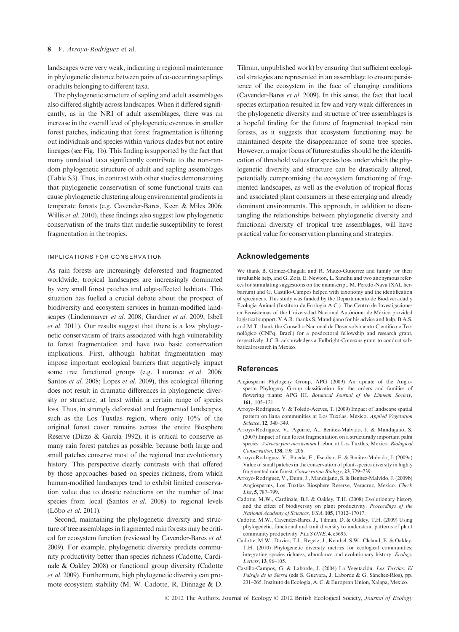landscapes were very weak, indicating a regional maintenance in phylogenetic distance between pairs of co-occurring saplings or adults belonging to different taxa.

The phylogenetic structure of sapling and adult assemblages also differed slightly across landscapes.When it differed significantly, as in the NRI of adult assemblages, there was an increase in the overall level of phylogenetic evenness in smaller forest patches, indicating that forest fragmentation is filtering out individuals and species within various clades but not entire lineages (see Fig. 1b). This finding is supported by the fact that many unrelated taxa significantly contribute to the non-random phylogenetic structure of adult and sapling assemblages (Table S3). Thus, in contrast with other studies demonstrating that phylogenetic conservatism of some functional traits can cause phylogenetic clustering along environmental gradients in temperate forests (e.g. Cavender-Bares, Keen & Miles 2006; Willis *et al.* 2010), these findings also suggest low phylogenetic conservatism of the traits that underlie susceptibility to forest fragmentation in the tropics.

#### IMPLICATIONS FOR CONSERVATION

As rain forests are increasingly deforested and fragmented worldwide, tropical landscapes are increasingly dominated by very small forest patches and edge-affected habitats. This situation has fuelled a crucial debate about the prospect of biodiversity and ecosystem services in human-modified landscapes (Lindenmayer et al. 2008; Gardner et al. 2009; Isbell et al. 2011). Our results suggest that there is a low phylogenetic conservatism of traits associated with high vulnerability to forest fragmentation and have two basic conservation implications. First, although habitat fragmentation may impose important ecological barriers that negatively impact some tree functional groups (e.g. Laurance et al. 2006; Santos et al. 2008; Lopes et al. 2009), this ecological filtering does not result in dramatic differences in phylogenetic diversity or structure, at least within a certain range of species loss. Thus, in strongly deforested and fragmented landscapes, such as the Los Tuxtlas region, where only 10% of the original forest cover remains across the entire Biosphere Reserve (Dirzo  $\&$  García 1992), it is critical to conserve as many rain forest patches as possible, because both large and small patches conserve most of the regional tree evolutionary history. This perspective clearly contrasts with that offered by those approaches based on species richness, from which human-modified landscapes tend to exhibit limited conservation value due to drastic reductions on the number of tree species from local (Santos et al. 2008) to regional levels (Lôbo et al. 2011).

Second, maintaining the phylogenetic diversity and structure of tree assemblages in fragmented rain forests may be critical for ecosystem function (reviewed by Cavender-Bares et al. 2009). For example, phylogenetic diversity predicts community productivity better than species richness (Cadotte, Cardinale & Oakley 2008) or functional group diversity (Cadotte et al. 2009). Furthermore, high phylogenetic diversity can promote ecosystem stability (M. W. Cadotte, R. Dinnage & D. Tilman, unpublished work) by ensuring that sufficient ecological strategies are represented in an assemblage to ensure persistence of the ecosystem in the face of changing conditions (Cavender-Bares et al. 2009). In this sense, the fact that local species extirpation resulted in few and very weak differences in the phylogenetic diversity and structure of tree assemblages is a hopeful finding for the future of fragmented tropical rain forests, as it suggests that ecosystem functioning may be maintained despite the disappearance of some tree species. However, a major focus of future studies should be the identification of threshold values for species loss under which the phylogenetic diversity and structure can be drastically altered, potentially compromising the ecosystem functioning of fragmented landscapes, as well as the evolution of tropical floras and associated plant consumers in these emerging and already dominant environments. This approach, in addition to disentangling the relationships between phylogenetic diversity and functional diversity of tropical tree assemblages, will have practical value for conservation planning and strategies.

#### Acknowledgements

We thank B. Gómez-Chagala and R. Mateo-Gutierrez and family for their invaluable help, and G. Zots, E. Newton, L. Sandhu and two anonymous referees for stimulating suggestions on the manuscript. M. Peredo-Nava (XAL herbarium) and G. Castillo-Campos helped with taxonomy and the identification of specimens. This study was funded by the Departamento de Biodiversidad y Ecología Animal (Instituto de Ecología A.C.). The Centro de Investigaciones en Ecosistemas of the Universidad Nacional Autónoma de México provided logistical support. V.A.R. thanks S. Mandujano for his advice and help. B.A.S. and M.T. thank the Conselho Nacional de Desenvolvimento Científico e Tecnológico (CNPq, Brazil) for a posdoctoral fellowship and research grant, respectively. J.C.B. acknowledges a Fulbright-Comexus grant to conduct sabbatical research in Mexico.

## **References**

- Angiosperm Phylogeny Group, APG (2009) An update of the Angiosperm Phylogeny Group classification for the orders and families of flowering plants: APG III. Botanical Journal of the Linnean Society, 161, 105–121.
- Arroyo-Rodríguez, V. & Toledo-Aceves, T. (2009) Impact of landscape spatial pattern on liana communities at Los Tuxtlas, Mexico. Applied Vegetation Science, 12, 340–349.
- Arroyo-Rodríguez, V., Aguirre, A., Benítez-Malvido, J. & Mandujano, S. (2007) Impact of rain forest fragmentation on a structurally important palm species: Astrocaryum mexicanum Liebm. at Los Tuxtlas, Mexico. Biological Conservation, 138, 198–206.
- Arroyo-Rodríguez, V., Pineda, E., Escobar, F. & Benítez-Malvido, J. (2009a) Value of small patches in the conservation of plant-species diversity in highly fragmented rain forest. Conservation Biology, 23, 729–739.
- Arroyo-Rodríguez, V., Dunn, J., Mandujano, S. & Benítez-Malvido, J. (2009b) Angiosperms, Los Tuxtlas Biosphere Reserve, Veracruz, Mexico. Check List, 5, 787–799.
- Cadotte, M.W., Cardinale, B.J. & Oakley, T.H. (2008) Evolutionary history and the effect of biodiversity on plant productivity. Proccedings of the National Academy of Sciences, USA, 105, 17012–17017.
- Cadotte, M.W., Cavender-Bares, J., Tilman, D. & Oakley, T.H. (2009) Using phylogenetic, functional and trait diversity to understand patterns of plant community productivity. PLoS ONE, 4, e5695.
- Cadotte, M.W., Davies, T.J., Regetz, J., Kembel, S.W., Cleland, E. & Oakley, T.H. (2010) Phylogenetic diversity metrics for ecological communities: integrating species richness, abundance and evolutionary history. Ecology Letters, 13, 96–105.
- Castillo-Campos, G. & Laborde, J. (2004) La Vegetación. Los Tuxtlas. El Paisaje de la Sierra (eds S. Guevara, J. Laborde & G. Sánchez-Ríos), pp. 231-265. Instituto de Ecología, A. C. & European Union, Xalapa, Mexico.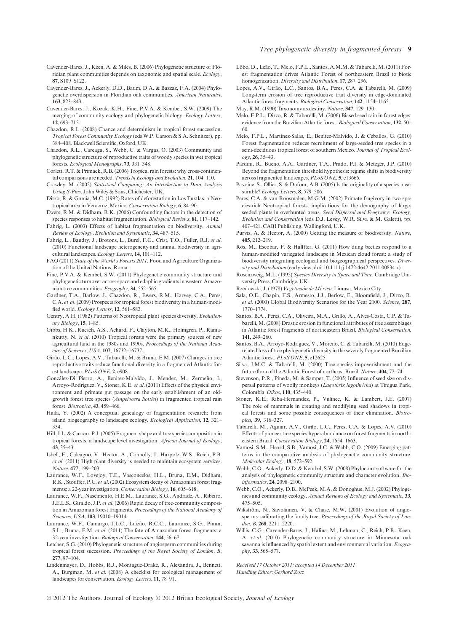- Cavender-Bares, J., Keen, A. & Miles, B. (2006) Phylogenetic structure of Floridian plant communities depends on taxonomic and spatial scale. Ecology, 87, S109–S122.
- Cavender-Bares, J., Ackerly, D.D., Baum, D.A. & Bazzaz, F.A. (2004) Phylogenetic overdispersion in Floridian oak communities. American Naturalist, 163, 823–843.
- Cavender-Bares, J., Kozak, K.H., Fine, P.V.A. & Kembel, S.W. (2009) The merging of community ecology and phylogenetic biology. Ecology Letters, 12, 693–715.
- Chazdon, R.L. (2008) Chance and determinism in tropical forest succession. Tropical Forest Community Ecology (eds W.P. Carson & S.A. Schnitzer), pp. 384–408. Blackwell Scientific, Oxford, UK.
- Chazdon, R.L., Careaga, S., Webb, C. & Vargas, O. (2003) Community and phylogenetic structure of reproductive traits of woody species in wet tropical forests. Ecological Monographs, 73, 331–348.
- Corlett, R.T. & Primack, R.B. (2006) Tropical rain forests: why cross-continental comparisons are needed. Trends in Ecology and Evolution, 21, 104–110.
- Crawley, M. (2002) Statistical Computing: An Introduction to Data Analysis Using S-Plus. John Wiley & Sons, Chichester, UK.
- Dirzo, R. & García, M.C. (1992) Rates of deforestation in Los Tuxtlas, a Neotropical area in Veracruz, Mexico. Conservation Biology, 6, 84–90.
- Ewers, R.M. & Didham, R.K. (2006) Confounding factors in the detection of species responses to habitat fragmentation. Biological Reviews, 81, 117–142.
- Fahrig, L. (2003) Effects of habitat fragmentation on biodiversity. Annual Review of Ecology, Evolution and Systematic, 34, 487–515.
- Fahrig, L., Baudry, J., Brotons, L., Burel, F.G., Crist, T.O., Fuller, R.J. et al. (2010) Functional landscape heterogeneity and animal biodiversity in agricultural landscapes. Ecology Letters, 14, 101–112.
- FAO (2011) State of the World's Forests 2011. Food and Agriculture Organization of the United Nations, Roma.
- Fine, P.V.A. & Kembel, S.W. (2011) Phylogenetic community structure and phylogenetic turnover across space and edaphic gradients in western Amazonian tree communities. Ecography, 34, 552–565.
- Gardner, T.A., Barlow, J., Chazdon, R., Ewers, R.M., Harvey, C.A., Peres, C.A. et al. (2009) Prospects for tropical forest biodiversity in a human-modified world. Ecology Letters, 12, 561–582.
- Gentry, A.H. (1982) Patterns of Neotropical plant species diversity. Evolutionary Biology,  $15$ ,  $1-85$ .
- Gibbs, H.K., Ruesch, A.S., Achard, F., Clayton, M.K., Holmgren, P., Ramankutty, N. et al. (2010) Tropical forests were the primary sources of new agricultural land in the 1980s and 1990s. Proccedings of the National Academy of Sciences, USA, 107, 16732–16737.
- Girão, L.C., Lopes, A.V., Tabarelli, M. & Bruna, E.M. (2007) Changes in tree reproductive traits reduce functional diversity in a fragmented Atlantic forest landscape. PLoS ONE, 2, e908.
- González-Di Pierro, A., Benítez-Malvido, J., Mendez, M., Zermeño, I., Arroyo-Rodríguez, V., Stoner, K.E. et al. (2011) Effects of the physical environment and primate gut passage on the early establishment of an oldgrowth forest tree species (Ampelocera hottlei) in fragmented tropical rain forest. Biotropica, 43, 459–466.
- Haila, Y. (2002) A conceptual genealogy of fragmentation research: from island biogeography to landscape ecology. Ecological Application, 12, 321– 334.
- Hill, J.L. & Curran, P.J. (2005) Fragment shape and tree species composition in tropical forests: a landscape level investigation. African Journal of Ecology, 43, 35–43.
- Isbell, F., Calcagno, V., Hector, A., Connolly, J., Harpole, W.S., Reich, P.B. et al. (2011) High plant diversity is needed to maintain ecosystem services. Nature, 477, 199–203.
- Laurance, W.F., Lovejoy, T.E., Vasconcelos, H.L., Bruna, E.M., Didham, R.K., Stouffer, P.C. et al. (2002) Ecosystem decay of Amazonian forest fragments: a 22-year investigation. Conservation Biology, 16, 605–618.
- Laurance, W.F., Nascimento, H.E.M., Laurance, S.G., Andrade, A., Ribeiro, J.E.L.S., Giraldo, J.P. et al. (2006) Rapid decay of tree-community composition in Amazonian forest fragments. Proccedings of the National Academy of Sciences, USA, 103, 19010–19014.
- Laurance, W.F., Camargo, J.L.C., Luizão, R.C.C., Laurance, S.G., Pimm, S.L., Bruna, E.M. et al. (2011) The fate of Amazonian forest fragments: a 32-year investigation. Biological Conservation, 144, 56–67.
- Letcher, S.G. (2010) Phylogenetic structure of angiosperm communities during tropical forest succession. Proccedings of the Royal Society of London, B, 277, 97–104.
- Lindenmayer, D., Hobbs, R.J., Montague-Drake, R., Alexandra, J., Bennett, A., Burgman, M. et al. (2008) A checklist for ecological management of landscapes for conservation. Ecology Letters, 11, 78–91.
- Lôbo, D., Leão, T., Melo, F.P.L., Santos, A.M.M. & Tabarelli, M. (2011) Forest fragmentation drives Atlantic Forest of northeastern Brazil to biotic homogenization. Diversity and Distribution, 17, 287–296.
- Lopes, A.V., Girão, L.C., Santos, B.A., Peres, C.A. & Tabarelli, M. (2009) Long-term erosion of tree reproductive trait diversity in edge-dominated Atlantic forest fragments. Biological Conservation, 142, 1154–1165.
- May, R.M. (1990) Taxonomy as destiny. Nature, 347, 129–130.
- Melo, F.P.L., Dirzo, R. & Tabarelli, M. (2006) Biased seed rain in forest edges: evidence from the Brazilian Atlantic forest. Biological Conservation, 132, 50– 60.
- Melo, F.P.L., Martínez-Salas, E., Benítez-Malvido, J. & Ceballos, G. (2010) Forest fragmentation reduces recruitment of large-seeded tree species in a semi-deciduous tropical forest of southern Mexico. Journal of Tropical Ecology, 26, 35–43.
- Pardini, R., Bueno, A.A., Gardner, T.A., Prado, P.I. & Metzger, J.P. (2010) Beyond the fragmentation threshold hypothesis: regime shifts in biodiversity across fragmented landscapes. PLoS ONE, 5, e13666.
- Pavoine, S., Ollier, S. & Dufour, A.B. (2005) Is the originality of a species measurable? Ecology Letters, 8, 579-586.
- Peres, C.A. & van Roosmalen, M.G.M. (2002) Primate frugivory in two species-rich Neotropical forests: implications for the demography of largeseeded plants in overhunted areas. Seed Dispersal and Frugivory: Ecology, Evolution and Conservation (eds D.J. Levey, W.R. Silva & M. Galetti), pp. 407–421. CABI Publishing, Wallingford, U.K.
- Purvis, A. & Hector, A. (2000) Getting the measure of biodiversity. Nature, 405, 212–219.
- Rös, M., Escobar, F. & Halffter, G. (2011) How dung beetles respond to a human-modified variegated landscape in Mexican cloud forest: a study of biodiversity integrating ecological and biogeographical perspectives. Diversity and Distribution (early view, doi: 10.1111/j.1472-4642.2011.00834.x).
- Rosenzweig, M.L. (1995) Species Diversity in Space and Time. Cambridge University Press, Cambridge, UK.
- Rzedowski, J. (1978) Vegetación de México. Limusa, Mexico City.
- Sala, O.E., Chapin, F.S., Armesto, J.J., Berlow, E., Bloomfield, J., Dirzo, R. et al. (2000) Global Biodiversity Scenarios for the Year 2100. Science, 287, 1770–1774.
- Santos, B.A., Peres, C.A., Oliveira, M.A., Grillo, A., Alves-Costa, C.P. & Tabarelli, M. (2008) Drastic erosion in functional attributes of tree assemblages in Atlantic forest fragments of northeastern Brazil. Biological Conservation, 141, 249–260.
- Santos, B.A., Arroyo-Rodríguez, V., Moreno, C. & Tabarelli, M. (2010) Edgerelated loss of tree phylogenetic diversity in the severely fragmented Brazilian Atlantic forest. PLoS ONE, 5, e12625.
- Silva, J.M.C. & Tabarelli, M. (2000) Tree species impoverishment and the future flora of the Atlantic Forest of northeast Brazil. Nature, 404, 72–74.
- Stevenson, P.R., Pineda, M. & Samper, T. (2005) Influence of seed size on dispersal patterns of woolly monkeys (Lagothrix lagothricha) at Tinigua Park, Colombia. Oikos, 110, 435–440.
- Stoner, K.E., Riba-Hernandez, P., Vulinec, K. & Lambert, J.E. (2007) The role of mammals in creating and modifying seed shadows in tropical forests and some possible consequences of their elimination. Biotropica, 39, 316–327.
- Tabarelli, M., Aguiar, A.V., Girão, L.C., Peres, C.A. & Lopes, A.V. (2010) Effects of pioneer tree species hyperabundance on forest fragments in northeastern Brazil. Conservation Biology, 24, 1654–1663.
- Vamosi, S.M., Heard, S.B., Vamosi, J.C. & Webb, C.O. (2009) Emerging patterns in the comparative analysis of phylogenetic community structure. Molecular Ecology, 18, 572–592.
- Webb, C.O., Ackerly, D.D. & Kembel, S.W. (2008) Phylocom: software for the analysis of phylogenetic community structure and character evolution. Bioinformatics, 24, 2098–2100.
- Webb, C.O., Ackerly, D.B., McPeek, M.A. & Donoghue, M.J. (2002) Phylogenies and community ecology. Annual Reviews of Ecology and Systematic, 33, 475–505.
- Wikström, N., Savolainen, V. & Chase, M.W. (2001) Evolution of angiosperms: calibrating the family tree. Proccedings of the Royal Society of London, B, 268, 2211–2220.
- Willis, C.G., Cavender-Bares, J., Halina, M., Lehman, C., Reich, P.B., Keen, A. et al. (2010) Phylogenetic community structure in Minnesota oak savanna is influenced by spatial extent and environmental variation. Ecography, 33, 565–577.

Received 17 October 2011; accepted 14 December 2011 Handling Editor: Gerhard Zotz